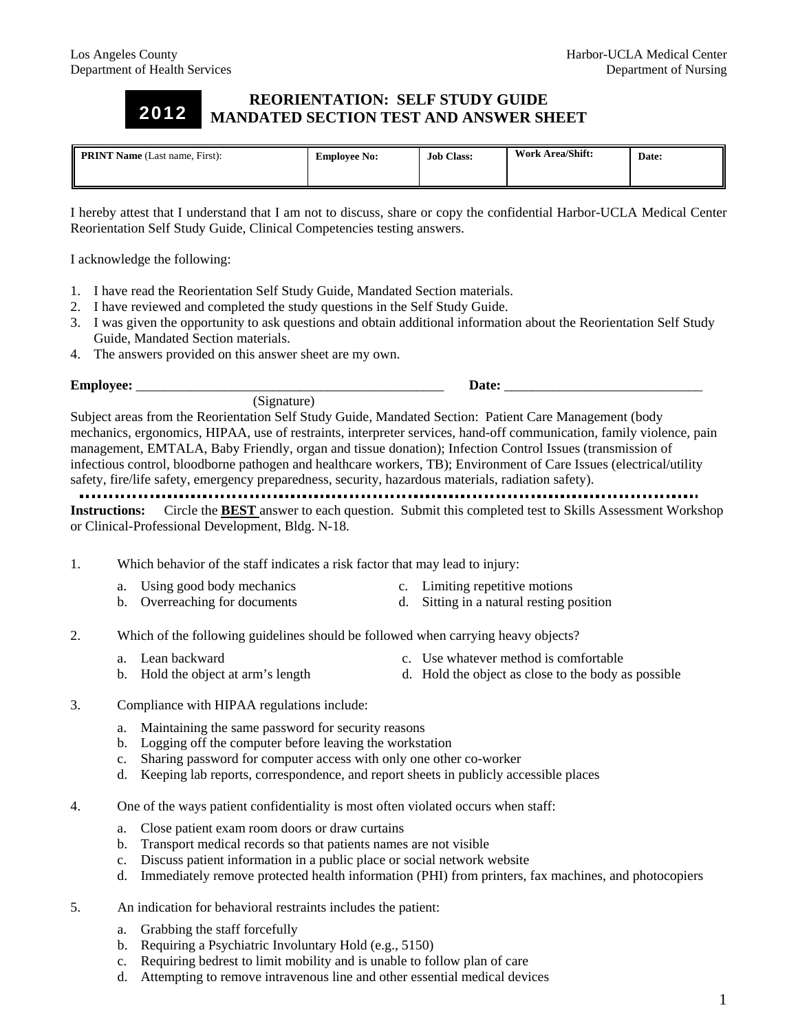2012

## **REORIENTATION: SELF STUDY GUIDE MANDATED SECTION TEST AND ANSWER SHEET**

| <b>PRINT Name</b> (Last name, First): | <b>Employee No:</b> | <b>Job Class:</b> | <b>Work Area/Shift:</b> | Date: |
|---------------------------------------|---------------------|-------------------|-------------------------|-------|
|                                       |                     |                   |                         |       |

I hereby attest that I understand that I am not to discuss, share or copy the confidential Harbor-UCLA Medical Center Reorientation Self Study Guide, Clinical Competencies testing answers.

I acknowledge the following:

- 1. I have read the Reorientation Self Study Guide, Mandated Section materials.
- 2. I have reviewed and completed the study questions in the Self Study Guide.
- 3. I was given the opportunity to ask questions and obtain additional information about the Reorientation Self Study Guide, Mandated Section materials.
- 4. The answers provided on this answer sheet are my own.

**Employee:** \_\_\_\_\_\_\_\_\_\_\_\_\_\_\_\_\_\_\_\_\_\_\_\_\_\_\_\_\_\_\_\_\_\_\_\_\_\_\_\_\_\_\_\_\_ **Date:** \_\_\_\_\_\_\_\_\_\_\_\_\_\_\_\_\_\_\_\_\_\_\_\_\_\_\_\_\_

(Signature)

Subject areas from the Reorientation Self Study Guide, Mandated Section: Patient Care Management (body mechanics, ergonomics, HIPAA, use of restraints, interpreter services, hand-off communication, family violence, pain management, EMTALA, Baby Friendly, organ and tissue donation); Infection Control Issues (transmission of infectious control, bloodborne pathogen and healthcare workers, TB); Environment of Care Issues (electrical/utility safety, fire/life safety, emergency preparedness, security, hazardous materials, radiation safety).

.................... **Instructions:** Circle the **BEST** answer to each question. Submit this completed test to Skills Assessment Workshop or Clinical-Professional Development, Bldg. N-18.

- 1. Which behavior of the staff indicates a risk factor that may lead to injury:
	- a. Using good body mechanics c. Limiting repetitive motions
	- b. Overreaching for documents d. Sitting in a natural resting position
- 2. Which of the following guidelines should be followed when carrying heavy objects?
	-
	- a. Lean backward c. Use whatever method is comfortable
	- b. Hold the object at arm's length d. Hold the object as close to the body as possible
- 3. Compliance with HIPAA regulations include:
	- a. Maintaining the same password for security reasons
	- b. Logging off the computer before leaving the workstation
	- c. Sharing password for computer access with only one other co-worker
	- d. Keeping lab reports, correspondence, and report sheets in publicly accessible places
- 4. One of the ways patient confidentiality is most often violated occurs when staff:
	- a. Close patient exam room doors or draw curtains
	- b. Transport medical records so that patients names are not visible
	- c. Discuss patient information in a public place or social network website
	- d. Immediately remove protected health information (PHI) from printers, fax machines, and photocopiers
- 5. An indication for behavioral restraints includes the patient:
	- a. Grabbing the staff forcefully
	- b. Requiring a Psychiatric Involuntary Hold (e.g., 5150)
	- c. Requiring bedrest to limit mobility and is unable to follow plan of care
	- d. Attempting to remove intravenous line and other essential medical devices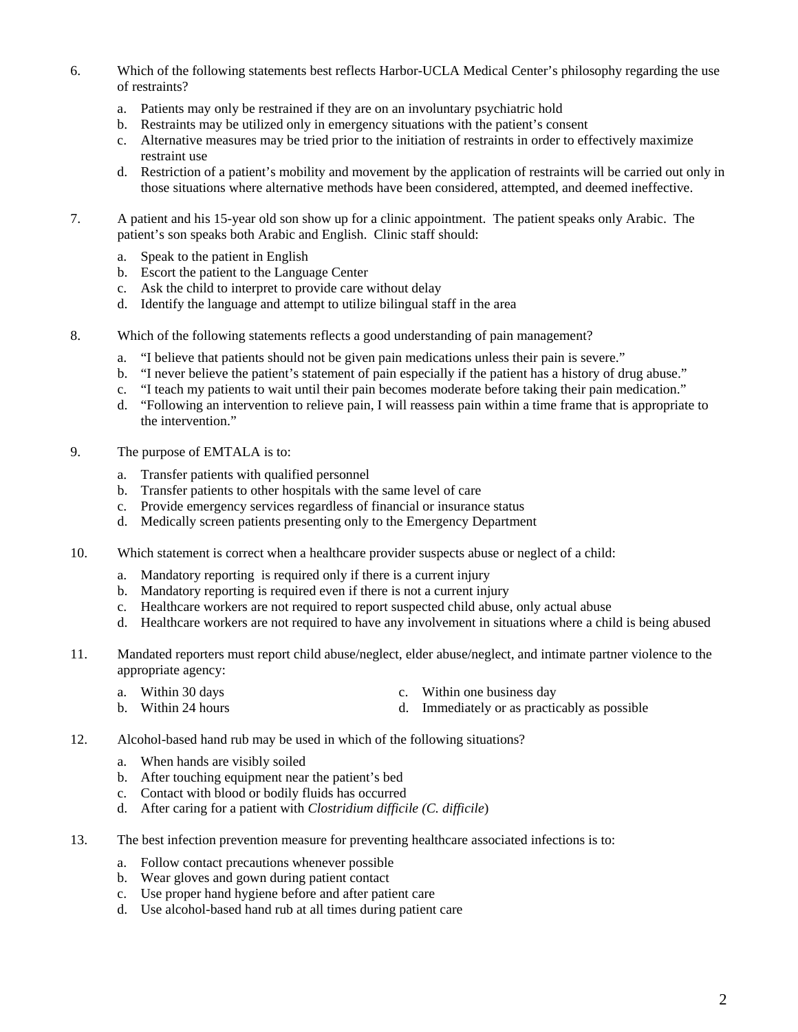- 6. Which of the following statements best reflects Harbor-UCLA Medical Center's philosophy regarding the use of restraints?
	- a. Patients may only be restrained if they are on an involuntary psychiatric hold
	- b. Restraints may be utilized only in emergency situations with the patient's consent
	- c. Alternative measures may be tried prior to the initiation of restraints in order to effectively maximize restraint use
	- d. Restriction of a patient's mobility and movement by the application of restraints will be carried out only in those situations where alternative methods have been considered, attempted, and deemed ineffective.
- 7. A patient and his 15-year old son show up for a clinic appointment. The patient speaks only Arabic. The patient's son speaks both Arabic and English. Clinic staff should:
	- a. Speak to the patient in English
	- b. Escort the patient to the Language Center
	- c. Ask the child to interpret to provide care without delay
	- d. Identify the language and attempt to utilize bilingual staff in the area
- 8. Which of the following statements reflects a good understanding of pain management?
	- a. "I believe that patients should not be given pain medications unless their pain is severe."
	- b. "I never believe the patient's statement of pain especially if the patient has a history of drug abuse."
	- c. "I teach my patients to wait until their pain becomes moderate before taking their pain medication."
	- d. "Following an intervention to relieve pain, I will reassess pain within a time frame that is appropriate to the intervention."
- 9. The purpose of EMTALA is to:
	- a. Transfer patients with qualified personnel
	- b. Transfer patients to other hospitals with the same level of care
	- c. Provide emergency services regardless of financial or insurance status
	- d. Medically screen patients presenting only to the Emergency Department
- 10. Which statement is correct when a healthcare provider suspects abuse or neglect of a child:
	- a. Mandatory reporting is required only if there is a current injury
	- b. Mandatory reporting is required even if there is not a current injury
	- c. Healthcare workers are not required to report suspected child abuse, only actual abuse
	- d. Healthcare workers are not required to have any involvement in situations where a child is being abused
- 11. Mandated reporters must report child abuse/neglect, elder abuse/neglect, and intimate partner violence to the appropriate agency:
	- a. Within 30 days c. Within one business day
	- b. Within 24 hours d. Immediately or as practicably as possible
- 12. Alcohol-based hand rub may be used in which of the following situations?
	- a. When hands are visibly soiled
	- b. After touching equipment near the patient's bed
	- c. Contact with blood or bodily fluids has occurred
	- d. After caring for a patient with *Clostridium difficile (C. difficile*)
- 13. The best infection prevention measure for preventing healthcare associated infections is to:
	- a. Follow contact precautions whenever possible
	- b. Wear gloves and gown during patient contact
	- c. Use proper hand hygiene before and after patient care
	- d. Use alcohol-based hand rub at all times during patient care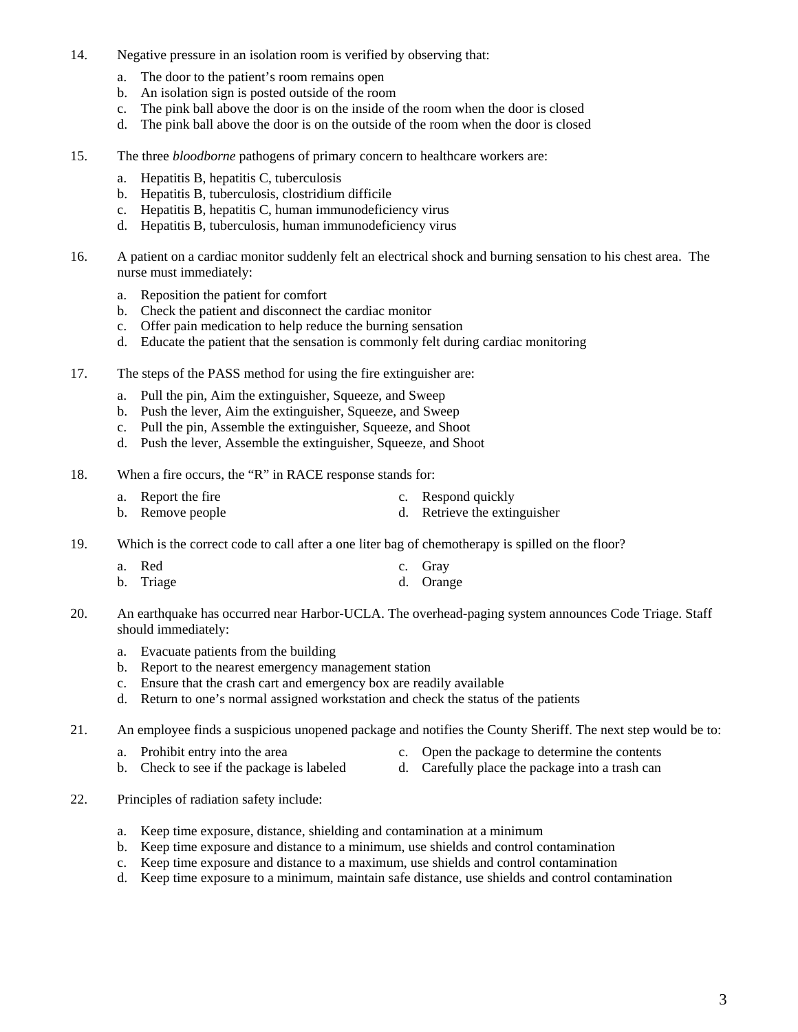- 14. Negative pressure in an isolation room is verified by observing that:
	- a. The door to the patient's room remains open
	- b. An isolation sign is posted outside of the room
	- c. The pink ball above the door is on the inside of the room when the door is closed
	- d. The pink ball above the door is on the outside of the room when the door is closed
- 15. The three *bloodborne* pathogens of primary concern to healthcare workers are:
	- a. Hepatitis B, hepatitis C, tuberculosis
	- b. Hepatitis B, tuberculosis, clostridium difficile
	- c. Hepatitis B, hepatitis C, human immunodeficiency virus
	- d. Hepatitis B, tuberculosis, human immunodeficiency virus
- 16. A patient on a cardiac monitor suddenly felt an electrical shock and burning sensation to his chest area. The nurse must immediately:
	- a. Reposition the patient for comfort
	- b. Check the patient and disconnect the cardiac monitor
	- c. Offer pain medication to help reduce the burning sensation
	- d. Educate the patient that the sensation is commonly felt during cardiac monitoring
- 17. The steps of the PASS method for using the fire extinguisher are:
	- a. Pull the pin, Aim the extinguisher, Squeeze, and Sweep
	- b. Push the lever, Aim the extinguisher, Squeeze, and Sweep
	- c. Pull the pin, Assemble the extinguisher, Squeeze, and Shoot
	- d. Push the lever, Assemble the extinguisher, Squeeze, and Shoot
- 18. When a fire occurs, the "R" in RACE response stands for:
	- a. Report the fire c. Respond quickly b. Remove people d. Retrieve the extinguisher
- 19. Which is the correct code to call after a one liter bag of chemotherapy is spilled on the floor?

| a. Red    | c. Gray   |
|-----------|-----------|
| b. Triage | d. Orange |

- 20. An earthquake has occurred near Harbor-UCLA. The overhead-paging system announces Code Triage. Staff should immediately:
	- a. Evacuate patients from the building
	- b. Report to the nearest emergency management station
	- c. Ensure that the crash cart and emergency box are readily available
	- d. Return to one's normal assigned workstation and check the status of the patients
- 21. An employee finds a suspicious unopened package and notifies the County Sheriff. The next step would be to:
	-
	- a. Prohibit entry into the area c. Open the package to determine the contents b. Check to see if the package is labeled d. Carefully place the package into a trash can d. Carefully place the package into a trash can
- 22. Principles of radiation safety include:
	- a. Keep time exposure, distance, shielding and contamination at a minimum
	- b. Keep time exposure and distance to a minimum, use shields and control contamination
	- c. Keep time exposure and distance to a maximum, use shields and control contamination
	- d. Keep time exposure to a minimum, maintain safe distance, use shields and control contamination